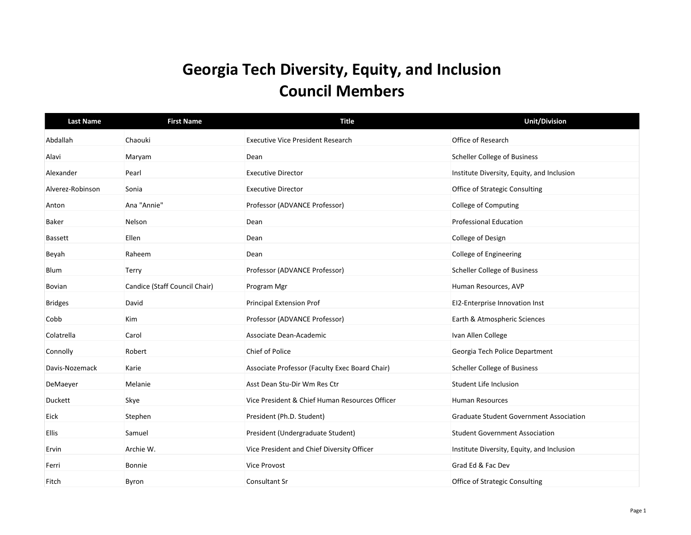## **Georgia Tech Diversity, Equity, and Inclusion Council Members**

| <b>Last Name</b> | <b>First Name</b>             | <b>Title</b>                                   | <b>Unit/Division</b>                           |
|------------------|-------------------------------|------------------------------------------------|------------------------------------------------|
| Abdallah         | Chaouki                       | <b>Executive Vice President Research</b>       | Office of Research                             |
| Alavi            | Maryam                        | Dean                                           | <b>Scheller College of Business</b>            |
| Alexander        | Pearl                         | <b>Executive Director</b>                      | Institute Diversity, Equity, and Inclusion     |
| Alverez-Robinson | Sonia                         | <b>Executive Director</b>                      | <b>Office of Strategic Consulting</b>          |
| Anton            | Ana "Annie"                   | Professor (ADVANCE Professor)                  | <b>College of Computing</b>                    |
| <b>Baker</b>     | Nelson                        | Dean                                           | <b>Professional Education</b>                  |
| <b>Bassett</b>   | Ellen                         | Dean                                           | College of Design                              |
| Beyah            | Raheem                        | Dean                                           | College of Engineering                         |
| Blum             | Terry                         | Professor (ADVANCE Professor)                  | <b>Scheller College of Business</b>            |
| Bovian           | Candice (Staff Council Chair) | Program Mgr                                    | Human Resources, AVP                           |
| <b>Bridges</b>   | David                         | Principal Extension Prof                       | EI2-Enterprise Innovation Inst                 |
| Cobb             | Kim                           | Professor (ADVANCE Professor)                  | Earth & Atmospheric Sciences                   |
| Colatrella       | Carol                         | Associate Dean-Academic                        | Ivan Allen College                             |
| Connolly         | Robert                        | Chief of Police                                | Georgia Tech Police Department                 |
| Davis-Nozemack   | Karie                         | Associate Professor (Faculty Exec Board Chair) | <b>Scheller College of Business</b>            |
| DeMaeyer         | Melanie                       | Asst Dean Stu-Dir Wm Res Ctr                   | Student Life Inclusion                         |
| Duckett          | Skye                          | Vice President & Chief Human Resources Officer | <b>Human Resources</b>                         |
| Eick             | Stephen                       | President (Ph.D. Student)                      | <b>Graduate Student Government Association</b> |
| <b>Ellis</b>     | Samuel                        | President (Undergraduate Student)              | <b>Student Government Association</b>          |
| Ervin            | Archie W.                     | Vice President and Chief Diversity Officer     | Institute Diversity, Equity, and Inclusion     |
| Ferri            | Bonnie                        | <b>Vice Provost</b>                            | Grad Ed & Fac Dev                              |
| Fitch            | Byron                         | Consultant Sr                                  | Office of Strategic Consulting                 |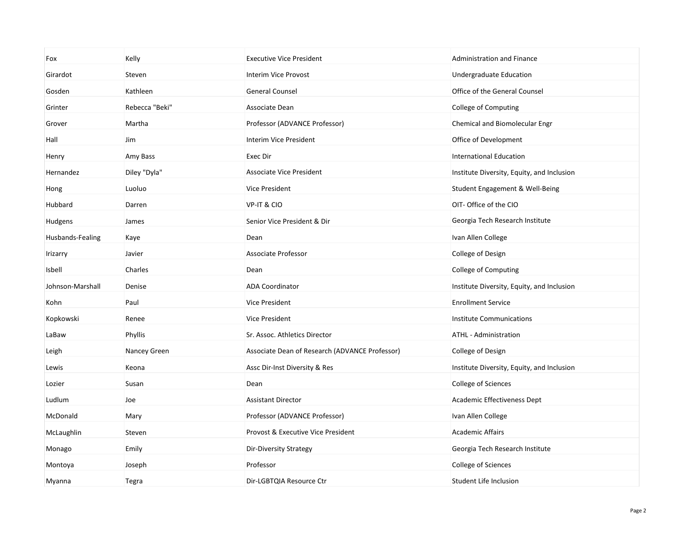| Fox              | Kelly          | <b>Executive Vice President</b>                | <b>Administration and Finance</b>          |
|------------------|----------------|------------------------------------------------|--------------------------------------------|
| Girardot         | Steven         | Interim Vice Provost                           | Undergraduate Education                    |
| Gosden           | Kathleen       | <b>General Counsel</b>                         | Office of the General Counsel              |
| Grinter          | Rebecca "Beki" | Associate Dean                                 | College of Computing                       |
| Grover           | Martha         | Professor (ADVANCE Professor)                  | Chemical and Biomolecular Engr             |
| Hall             | Jim            | Interim Vice President                         | Office of Development                      |
| Henry            | Amy Bass       | Exec Dir                                       | <b>International Education</b>             |
| Hernandez        | Diley "Dyla"   | <b>Associate Vice President</b>                | Institute Diversity, Equity, and Inclusion |
| Hong             | Luoluo         | Vice President                                 | Student Engagement & Well-Being            |
| Hubbard          | Darren         | VP-IT & CIO                                    | OIT- Office of the CIO                     |
| Hudgens          | James          | Senior Vice President & Dir                    | Georgia Tech Research Institute            |
| Husbands-Fealing | Kaye           | Dean                                           | Ivan Allen College                         |
| Irizarry         | Javier         | Associate Professor                            | College of Design                          |
| Isbell           | Charles        | Dean                                           | College of Computing                       |
| Johnson-Marshall | Denise         | <b>ADA Coordinator</b>                         | Institute Diversity, Equity, and Inclusion |
| Kohn             | Paul           | Vice President                                 | <b>Enrollment Service</b>                  |
| Kopkowski        | Renee          | <b>Vice President</b>                          | Institute Communications                   |
| LaBaw            | Phyllis        | Sr. Assoc. Athletics Director                  | ATHL - Administration                      |
| Leigh            | Nancey Green   | Associate Dean of Research (ADVANCE Professor) | College of Design                          |
| Lewis            | Keona          | Assc Dir-Inst Diversity & Res                  | Institute Diversity, Equity, and Inclusion |
| Lozier           | Susan          | Dean                                           | College of Sciences                        |
| Ludlum           | Joe            | <b>Assistant Director</b>                      | <b>Academic Effectiveness Dept</b>         |
| McDonald         | Mary           | Professor (ADVANCE Professor)                  | Ivan Allen College                         |
| McLaughlin       | Steven         | Provost & Executive Vice President             | <b>Academic Affairs</b>                    |
| Monago           | Emily          | Dir-Diversity Strategy                         | Georgia Tech Research Institute            |
| Montoya          | Joseph         | Professor                                      | College of Sciences                        |
| Myanna           | Tegra          | Dir-LGBTQIA Resource Ctr                       | Student Life Inclusion                     |